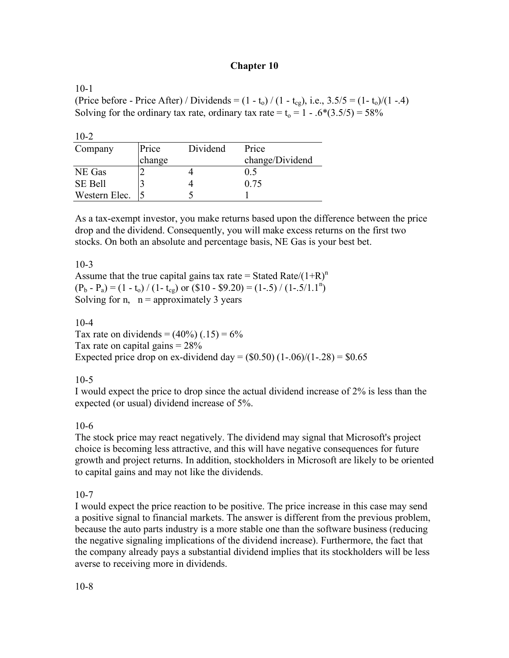## **Chapter 10**

 $10-1$ (Price before - Price After) / Dividends =  $(1 - t_0) / (1 - t_{cg})$ , i.e.,  $3.5/5 = (1 - t_0) / (1 - .4)$ Solving for the ordinary tax rate, ordinary tax rate =  $t_0 = 1 - .6*(3.5/5) = 58\%$ 

| $10-2$         |        |          |                 |
|----------------|--------|----------|-----------------|
| Company        | Price  | Dividend | Price           |
|                | change |          | change/Dividend |
| NE Gas         |        |          | 0.5             |
| <b>SE Bell</b> |        |          | 0.75            |
| Western Elec.  |        |          |                 |

As a tax-exempt investor, you make returns based upon the difference between the price drop and the dividend. Consequently, you will make excess returns on the first two stocks. On both an absolute and percentage basis, NE Gas is your best bet.

10-3

Assume that the true capital gains tax rate = Stated Rate/ $(1+R)^n$  $(P_b - P_a) = (1 - t_o) / (1 - t_{cg})$  or  $$10 - $9.20] = (1 - .5) / (1 - .5/1.1<sup>n</sup>)$ Solving for n,  $n =$  approximately 3 years

 $10 - 4$ 

Tax rate on dividends =  $(40\%)$  (.15) =  $6\%$ Tax rate on capital gains  $= 28\%$ Expected price drop on ex-dividend day =  $(\$0.50)$   $(1-.06)/(1-.28)$  =  $\$0.65$ 

10-5

I would expect the price to drop since the actual dividend increase of 2% is less than the expected (or usual) dividend increase of 5%.

# 10-6

The stock price may react negatively. The dividend may signal that Microsoft's project choice is becoming less attractive, and this will have negative consequences for future growth and project returns. In addition, stockholders in Microsoft are likely to be oriented to capital gains and may not like the dividends.

 $10-7$ 

I would expect the price reaction to be positive. The price increase in this case may send a positive signal to financial markets. The answer is different from the previous problem, because the auto parts industry is a more stable one than the software business (reducing the negative signaling implications of the dividend increase). Furthermore, the fact that the company already pays a substantial dividend implies that its stockholders will be less averse to receiving more in dividends.

10-8